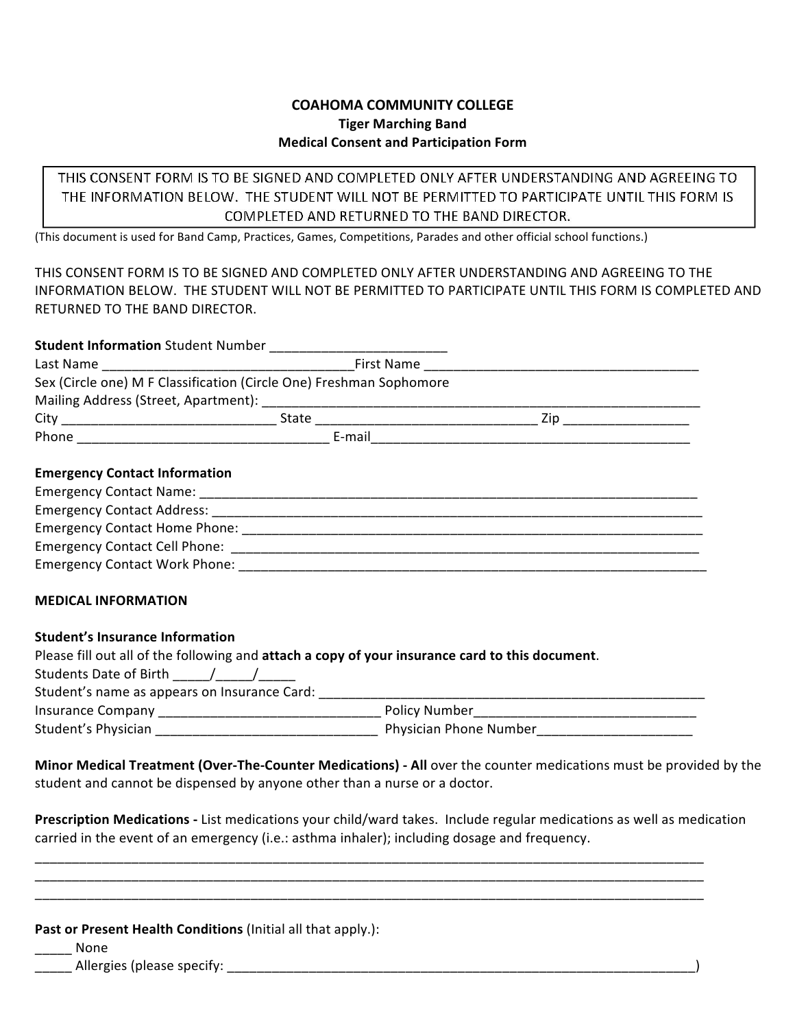## **COAHOMA&COMMUNITY&COLLEGE Tiger Marching Band Medical Consent and Participation Form**

THIS CONSENT FORM IS TO BE SIGNED AND COMPLETED ONLY AFTER UNDERSTANDING AND AGREEING TO THE INFORMATION BELOW. THE STUDENT WILL NOT BE PERMITTED TO PARTICIPATE UNTIL THIS FORM IS COMPLETED AND RETURNED TO THE BAND DIRECTOR.

(This document is used for Band Camp, Practices, Games, Competitions, Parades and other official school functions.)

THIS CONSENT FORM IS TO BE SIGNED AND COMPLETED ONLY AFTER UNDERSTANDING AND AGREEING TO THE INFORMATION BELOW. THE STUDENT WILL NOT BE PERMITTED TO PARTICIPATE UNTIL THIS FORM IS COMPLETED AND RETURNED TO THE BAND DIRECTOR.

| Sex (Circle one) M F Classification (Circle One) Freshman Sophomore                                                                                                                                                                                                                                                                                                                                                                                                                                                                                                             |  |  |  |
|---------------------------------------------------------------------------------------------------------------------------------------------------------------------------------------------------------------------------------------------------------------------------------------------------------------------------------------------------------------------------------------------------------------------------------------------------------------------------------------------------------------------------------------------------------------------------------|--|--|--|
|                                                                                                                                                                                                                                                                                                                                                                                                                                                                                                                                                                                 |  |  |  |
|                                                                                                                                                                                                                                                                                                                                                                                                                                                                                                                                                                                 |  |  |  |
|                                                                                                                                                                                                                                                                                                                                                                                                                                                                                                                                                                                 |  |  |  |
| <b>Emergency Contact Information</b>                                                                                                                                                                                                                                                                                                                                                                                                                                                                                                                                            |  |  |  |
|                                                                                                                                                                                                                                                                                                                                                                                                                                                                                                                                                                                 |  |  |  |
|                                                                                                                                                                                                                                                                                                                                                                                                                                                                                                                                                                                 |  |  |  |
|                                                                                                                                                                                                                                                                                                                                                                                                                                                                                                                                                                                 |  |  |  |
|                                                                                                                                                                                                                                                                                                                                                                                                                                                                                                                                                                                 |  |  |  |
|                                                                                                                                                                                                                                                                                                                                                                                                                                                                                                                                                                                 |  |  |  |
| <b>MEDICAL INFORMATION</b>                                                                                                                                                                                                                                                                                                                                                                                                                                                                                                                                                      |  |  |  |
| <b>Student's Insurance Information</b><br>Please fill out all of the following and attach a copy of your insurance card to this document.<br>Students Date of Birth $\frac{1}{\frac{1}{2} \cdot \frac{1}{2} \cdot \frac{1}{2} \cdot \frac{1}{2} \cdot \frac{1}{2} \cdot \frac{1}{2} \cdot \frac{1}{2} \cdot \frac{1}{2} \cdot \frac{1}{2} \cdot \frac{1}{2} \cdot \frac{1}{2} \cdot \frac{1}{2} \cdot \frac{1}{2} \cdot \frac{1}{2} \cdot \frac{1}{2} \cdot \frac{1}{2} \cdot \frac{1}{2} \cdot \frac{1}{2} \cdot \frac{1}{2} \cdot \frac{1}{2} \cdot \frac{1}{2} \cdot \frac{$ |  |  |  |
|                                                                                                                                                                                                                                                                                                                                                                                                                                                                                                                                                                                 |  |  |  |

| Insurance Company   | - Policy Number        |
|---------------------|------------------------|
| Student's Physician | Physician Phone Number |

**Minor Medical Treatment (Over-The-Counter Medications) - All** over the counter medications must be provided by the student and cannot be dispensed by anyone other than a nurse or a doctor.

Prescription Medications - List medications your child/ward takes. Include regular medications as well as medication carried in the event of an emergency (i.e.: asthma inhaler); including dosage and frequency.

\_\_\_\_\_\_\_\_\_\_\_\_\_\_\_\_\_\_\_\_\_\_\_\_\_\_\_\_\_\_\_\_\_\_\_\_\_\_\_\_\_\_\_\_\_\_\_\_\_\_\_\_\_\_\_\_\_\_\_\_\_\_\_\_\_\_\_\_\_\_\_\_\_\_\_\_\_\_\_\_\_\_\_\_\_\_\_\_\_\_! \_\_\_\_\_\_\_\_\_\_\_\_\_\_\_\_\_\_\_\_\_\_\_\_\_\_\_\_\_\_\_\_\_\_\_\_\_\_\_\_\_\_\_\_\_\_\_\_\_\_\_\_\_\_\_\_\_\_\_\_\_\_\_\_\_\_\_\_\_\_\_\_\_\_\_\_\_\_\_\_\_\_\_\_\_\_\_\_\_\_! \_\_\_\_\_\_\_\_\_\_\_\_\_\_\_\_\_\_\_\_\_\_\_\_\_\_\_\_\_\_\_\_\_\_\_\_\_\_\_\_\_\_\_\_\_\_\_\_\_\_\_\_\_\_\_\_\_\_\_\_\_\_\_\_\_\_\_\_\_\_\_\_\_\_\_\_\_\_\_\_\_\_\_\_\_\_\_\_\_\_!

**Past or Present Health Conditions** (Initial all that apply.):

\_\_\_\_\_!None!

\_\_\_\_\_!Allergies!(please!specify:!\_\_\_\_\_\_\_\_\_\_\_\_\_\_\_\_\_\_\_\_\_\_\_\_\_\_\_\_\_\_\_\_\_\_\_\_\_\_\_\_\_\_\_\_\_\_\_\_\_\_\_\_\_\_\_\_\_\_\_\_\_\_\_)!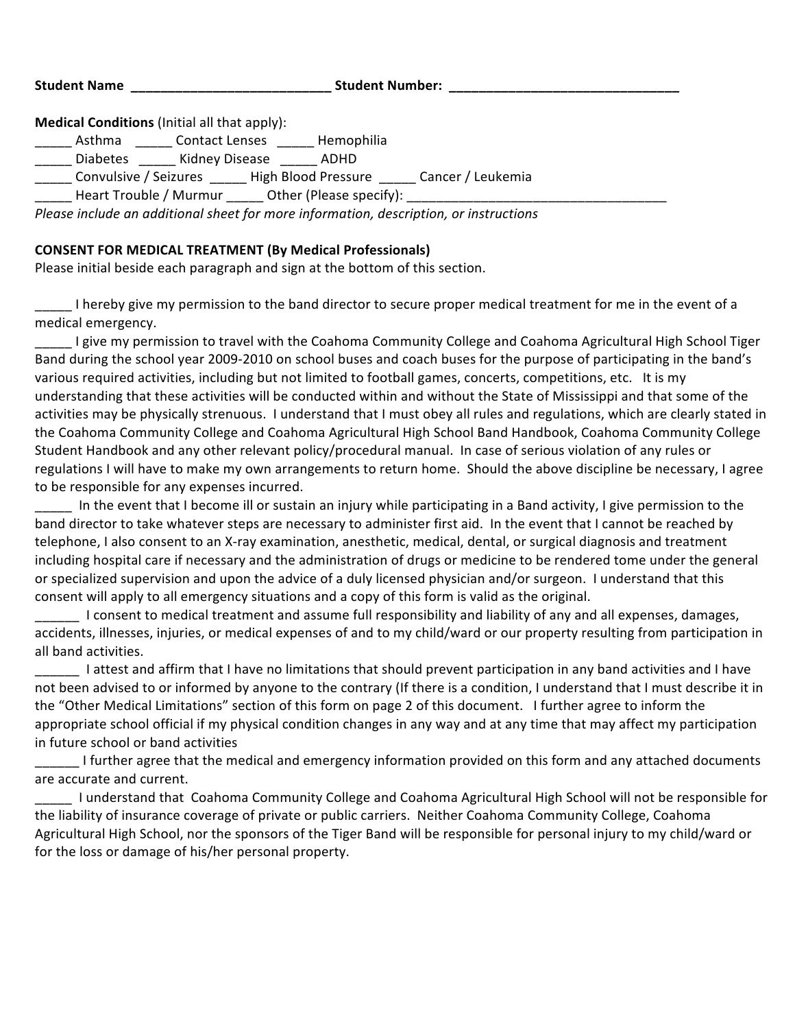Student Name \_\_\_\_\_\_\_\_\_\_\_\_\_\_\_\_\_\_\_\_\_\_\_\_\_\_\_\_\_\_\_\_\_\_Student Number: \_\_\_\_\_\_\_\_\_\_\_\_\_\_\_\_\_\_

**Medical Conditions** (Initial all that apply):

**EXECUTE:** Asthma **EXECUTE:** Contact Lenses **CONSILER** Hemophilia

Diabetes 1. Kidney Disease 1. ADHD

\_\_\_\_\_ Convulsive / Seizures \_\_\_\_\_ High Blood Pressure \_\_\_\_\_ Cancer / Leukemia

Heart Trouble / Murmur \_\_\_\_\_\_ Other (Please specify): \_\_\_\_\_\_\_\_\_\_\_\_\_\_\_\_\_\_\_\_\_\_\_\_\_\_

*Please include an additional sheet for more information, description, or instructions* 

## **CONSENT FOR MEDICAL TREATMENT (By Medical Professionals)**

Please initial beside each paragraph and sign at the bottom of this section.

I hereby give my permission to the band director to secure proper medical treatment for me in the event of a medical emergency.

I give my permission to travel with the Coahoma Community College and Coahoma Agricultural High School Tiger Band during the school year 2009-2010 on school buses and coach buses for the purpose of participating in the band's various required activities, including but not limited to football games, concerts, competitions, etc. It is my understanding that these activities will be conducted within and without the State of Mississippi and that some of the activities may be physically strenuous. I understand that I must obey all rules and regulations, which are clearly stated in the Coahoma Community College and Coahoma Agricultural High School Band Handbook, Coahoma Community College Student Handbook and any other relevant policy/procedural manual. In case of serious violation of any rules or regulations I will have to make my own arrangements to return home. Should the above discipline be necessary, I agree to be responsible for any expenses incurred.

In the event that I become ill or sustain an injury while participating in a Band activity, I give permission to the band director to take whatever steps are necessary to administer first aid. In the event that I cannot be reached by telephone, I also consent to an X-ray examination, anesthetic, medical, dental, or surgical diagnosis and treatment including hospital care if necessary and the administration of drugs or medicine to be rendered tome under the general or specialized supervision and upon the advice of a duly licensed physician and/or surgeon. I understand that this consent will apply to all emergency situations and a copy of this form is valid as the original.

\_\_\_\_\_\_!!I!consent!to!medical!treatment!and!assume!full!responsibility!and!liability!of!any!and!all!expenses,!damages,! accidents, illnesses, injuries, or medical expenses of and to my child/ward or our property resulting from participation in all band activities.

\_\_\_\_\_\_ I attest and affirm that I have no limitations that should prevent participation in any band activities and I have not been advised to or informed by anyone to the contrary (If there is a condition, I understand that I must describe it in the "Other Medical Limitations" section of this form on page 2 of this document. I further agree to inform the appropriate school official if my physical condition changes in any way and at any time that may affect my participation in future school or band activities

Lought III further agree that the medical and emergency information provided on this form and any attached documents are accurate and current.

I understand that Coahoma Community College and Coahoma Agricultural High School will not be responsible for the liability of insurance coverage of private or public carriers. Neither Coahoma Community College, Coahoma Agricultural High School, nor the sponsors of the Tiger Band will be responsible for personal injury to my child/ward or for the loss or damage of his/her personal property.